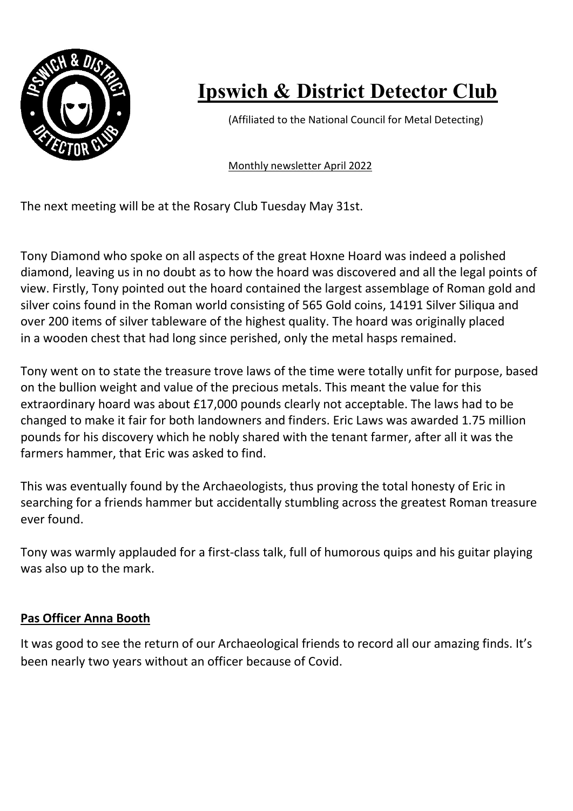

## Ipswich & District Detector Club

(Affiliated to the National Council for Metal Detecting)

Monthly newsletter April 2022

The next meeting will be at the Rosary Club Tuesday May 31st.

Tony Diamond who spoke on all aspects of the great Hoxne Hoard was indeed a polished diamond, leaving us in no doubt as to how the hoard was discovered and all the legal points of view. Firstly, Tony pointed out the hoard contained the largest assemblage of Roman gold and silver coins found in the Roman world consisting of 565 Gold coins, 14191 Silver Siliqua and over 200 items of silver tableware of the highest quality. The hoard was originally placed in a wooden chest that had long since perished, only the metal hasps remained.

Tony went on to state the treasure trove laws of the time were totally unfit for purpose, based on the bullion weight and value of the precious metals. This meant the value for this extraordinary hoard was about £17,000 pounds clearly not acceptable. The laws had to be changed to make it fair for both landowners and finders. Eric Laws was awarded 1.75 million pounds for his discovery which he nobly shared with the tenant farmer, after all it was the farmers hammer, that Eric was asked to find.

This was eventually found by the Archaeologists, thus proving the total honesty of Eric in searching for a friends hammer but accidentally stumbling across the greatest Roman treasure ever found.

Tony was warmly applauded for a first-class talk, full of humorous quips and his guitar playing was also up to the mark.

## Pas Officer Anna Booth

It was good to see the return of our Archaeological friends to record all our amazing finds. It's been nearly two years without an officer because of Covid.